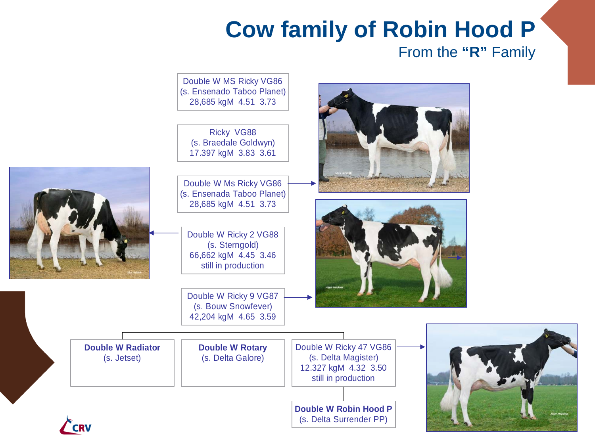## **Cow family of Robin Hood P**

## From the **"R"** Family